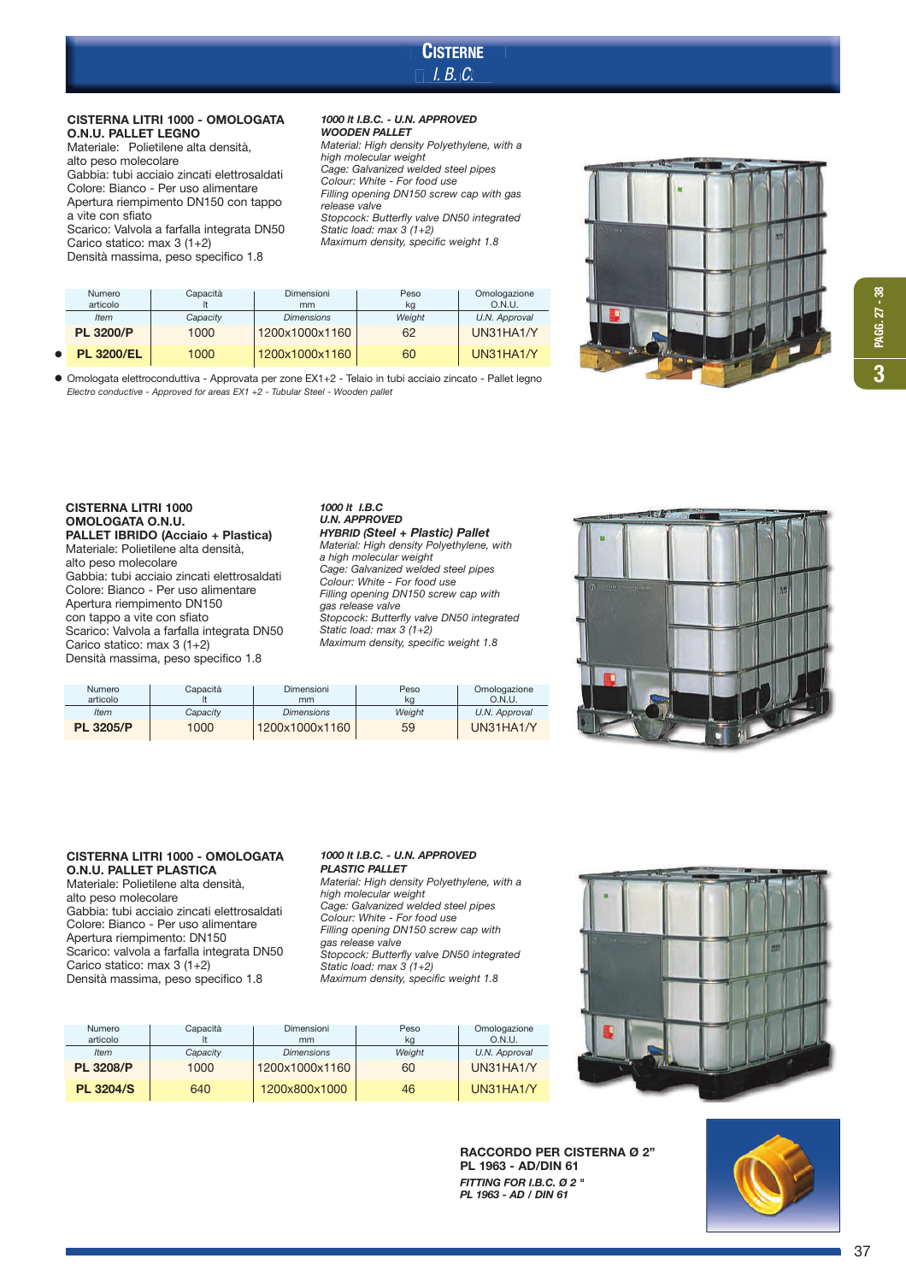# **CISTERNE** CISTERNE<br>| I. B. C. –

## CISTERNA LITRI 1000 - OMOLOGATA O.N.U. PALLET LEGNO

Materiale: Polietilene alta densità, alto peso molecolare Gabbia: tubi acciaio zincati elettrosaldati Colore: Bianco - Per uso alimentare Apertura riempimento DN150 con tappo a vite con sfiato Scarico: Valvola a farfalla integrata DN50 Carico statico: max 3 (1+2) Densità massima, peso specifico 1.8

•

## 1000 lt I.B.C. - U.N. APPROVED WOODEN PALLET

*Material: High density Polyethylene, with a high molecular weight Cage: Galvanized welded steel pipes Colour: White - For food use Filling opening DN150 screw cap with gas release valve Stopcock: Butterfly valve DN50 integrated Static load: max 3 (1+2) Maximum density, specific weight 1.8* 



| <b>CISTERNA LITRI 1000</b>                  | 100  |
|---------------------------------------------|------|
| OMOLOGATA O.N.U.                            | U.N  |
| PALLET IBRIDO (Acciaio + Plastica)          | HYL  |
| Materiale: Polietilene alta densità,        | Mat  |
| alto peso molecolare                        | a hi |
| Gabbia: tubi acciaio zincati elettrosaldati | Caq  |

*Electro conductive - Approved for areas EX1 +2 - Tubular Steel - Wooden pallet*

tubi ac Colore: Bianco - Per uso alimentare Apertura riempimento DN150 con tappo a vite con sfiato Scarico: Valvola a farfalla integrata DN50 Carico statico: max 3 (1+2) Densità massima, peso specifico 1.8

### 0 lt I.B.C U.N. APPROVED BRID (Steel + Plastic) Pallet *Material: High density Polyethylene, with a high molecular weight Cage: Galvanized welded steel pipes Colour: White - For food use Filling opening DN150 screw cap with gas release valve Stopcock: Butterfly valve DN50 integrated Static load: max 3 (1+2) Maximum density, specific weight 1.8*



| <b>Numero</b>    | Capacità | Dimensioni        | Peso   | Omologazione  |
|------------------|----------|-------------------|--------|---------------|
| articolo         |          | mm                | ka     | O.N.U.        |
| <b>Item</b>      | Capacitv | <b>Dimensions</b> | Weiaht | U.N. Approval |
| <b>PL 3205/P</b> | 1000     | 1200x1000x1160    | 59     | UN31HA1/Y     |

**PL 3200/P** 1000 1200x1000x1160 62 UN31HA1/Y PL 3200/EL 1000 1200x1000x1160 60 UN31HA1/Y

Numero | Capacità | Dimensioni | Peso | Omologazione<br>articolo | t | mm | kg | O.N.U. articolo lt mm kg O.N.U. *Item Capacity Dimensions Weight U.N. Approval*

● Omologata elettroconduttiva - Approvata per zone EX1+2 - Telaio in tubi acciaio zincato - Pallet legno

# CISTERNA LITRI 1000 - OMOLOGATA O.N.U. PALLET PLASTICA

Materiale: Polietilene alta densità, alto peso molecolare Gabbia: tubi acciaio zincati elettrosaldati Colore: Bianco - Per uso alimentare Apertura riempimento: DN150 Scarico: valvola a farfalla integrata DN50 Carico statico: max 3 (1+2) Densità massima, peso specifico 1.8

### 1000 lt I.B.C. - U.N. APPROVED **PLASTIC PALLET**

*Material: High density Polyethylene, with a high molecular weight Cage: Galvanized welded steel pipes Colour: White - For food use Filling opening DN150 screw cap with gas release valve Stopcock: Butterfly valve DN50 integrated Static load: max 3 (1+2) Maximum density, specific weight 1.8* 

| Capacità<br>Numero<br>articolo |          | Dimensioni<br>mm  | Peso<br>kg | Omologazione<br>O.N.U. |  |
|--------------------------------|----------|-------------------|------------|------------------------|--|
| <b>Item</b>                    | Capacity | <b>Dimensions</b> | Weight     | U.N. Approval          |  |
| <b>PL 3208/P</b>               | 1000     | 1200x1000x1160    | 60         | UN31HA1/Y              |  |
| <b>PL 3204/S</b>               | 640      | 1200x800x1000     | 46         | UN31HA1/Y              |  |



RACCORDO PER CISTERNA Ø 2" PL 1963 - AD/DIN 61 FITTING FOR I.B.C. Ø 2 " PL 1963 - AD / DIN 61